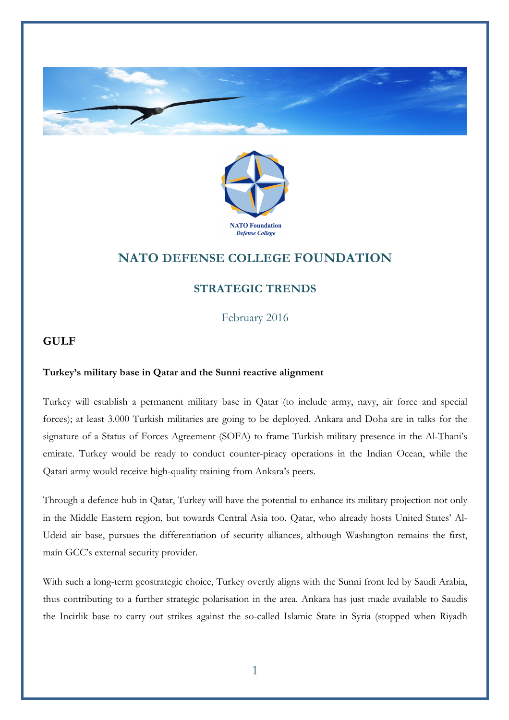



# **NATO DEFENSE COLLEGE FOUNDATION**

## **STRATEGIC TRENDS**

February 2016

## **GULF**

#### **Turkey's military base in Qatar and the Sunni reactive alignment**

Turkey will establish a permanent military base in Qatar (to include army, navy, air force and special forces); at least 3.000 Turkish militaries are going to be deployed. Ankara and Doha are in talks for the signature of a Status of Forces Agreement (SOFA) to frame Turkish military presence in the Al-Thani's emirate. Turkey would be ready to conduct counter-piracy operations in the Indian Ocean, while the Qatari army would receive high-quality training from Ankara's peers.

Through a defence hub in Qatar, Turkey will have the potential to enhance its military projection not only in the Middle Eastern region, but towards Central Asia too. Qatar, who already hosts United States' Al-Udeid air base, pursues the differentiation of security alliances, although Washington remains the first, main GCC's external security provider.

With such a long-term geostrategic choice, Turkey overtly aligns with the Sunni front led by Saudi Arabia, thus contributing to a further strategic polarisation in the area. Ankara has just made available to Saudis the Incirlik base to carry out strikes against the so-called Islamic State in Syria (stopped when Riyadh